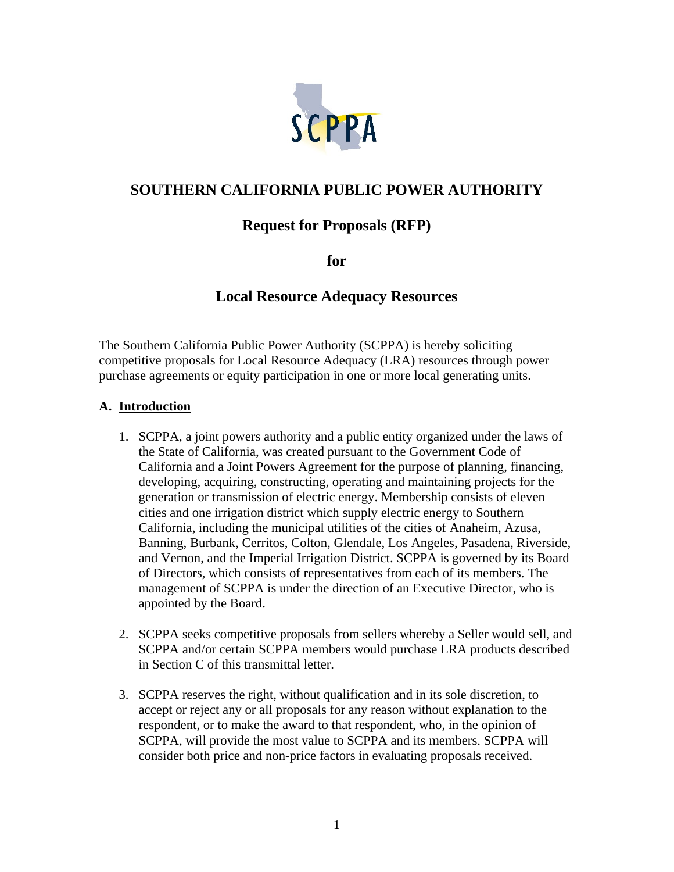

# **SOUTHERN CALIFORNIA PUBLIC POWER AUTHORITY**

# **Request for Proposals (RFP)**

**for** 

## **Local Resource Adequacy Resources**

The Southern California Public Power Authority (SCPPA) is hereby soliciting competitive proposals for Local Resource Adequacy (LRA) resources through power purchase agreements or equity participation in one or more local generating units.

#### **A. Introduction**

- 1. SCPPA, a joint powers authority and a public entity organized under the laws of the State of California, was created pursuant to the Government Code of California and a Joint Powers Agreement for the purpose of planning, financing, developing, acquiring, constructing, operating and maintaining projects for the generation or transmission of electric energy. Membership consists of eleven cities and one irrigation district which supply electric energy to Southern California, including the municipal utilities of the cities of Anaheim, Azusa, Banning, Burbank, Cerritos, Colton, Glendale, Los Angeles, Pasadena, Riverside, and Vernon, and the Imperial Irrigation District. SCPPA is governed by its Board of Directors, which consists of representatives from each of its members. The management of SCPPA is under the direction of an Executive Director, who is appointed by the Board.
- 2. SCPPA seeks competitive proposals from sellers whereby a Seller would sell, and SCPPA and/or certain SCPPA members would purchase LRA products described in Section C of this transmittal letter.
- 3. SCPPA reserves the right, without qualification and in its sole discretion, to accept or reject any or all proposals for any reason without explanation to the respondent, or to make the award to that respondent, who, in the opinion of SCPPA, will provide the most value to SCPPA and its members. SCPPA will consider both price and non-price factors in evaluating proposals received.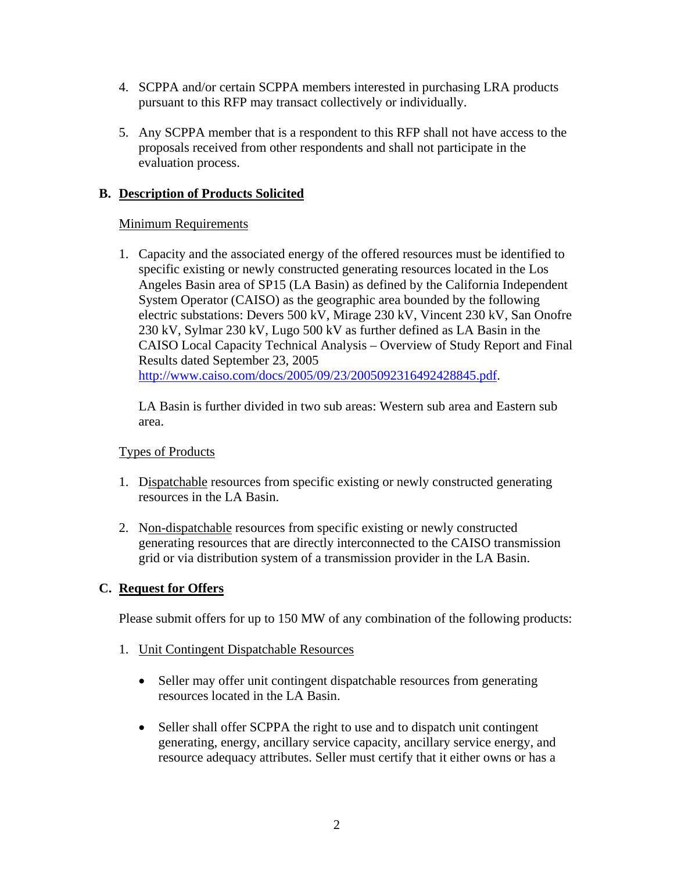- 4. SCPPA and/or certain SCPPA members interested in purchasing LRA products pursuant to this RFP may transact collectively or individually.
- 5. Any SCPPA member that is a respondent to this RFP shall not have access to the proposals received from other respondents and shall not participate in the evaluation process.

### **B. Description of Products Solicited**

### Minimum Requirements

1. Capacity and the associated energy of the offered resources must be identified to specific existing or newly constructed generating resources located in the Los Angeles Basin area of SP15 (LA Basin) as defined by the California Independent System Operator (CAISO) as the geographic area bounded by the following electric substations: Devers 500 kV, Mirage 230 kV, Vincent 230 kV, San Onofre 230 kV, Sylmar 230 kV, Lugo 500 kV as further defined as LA Basin in the CAISO Local Capacity Technical Analysis – Overview of Study Report and Final Results dated September 23, 2005 http://www.caiso.com/docs/2005/09/23/2005092316492428845.pdf.

LA Basin is further divided in two sub areas: Western sub area and Eastern sub area.

### Types of Products

- 1. Dispatchable resources from specific existing or newly constructed generating resources in the LA Basin.
- 2. Non-dispatchable resources from specific existing or newly constructed generating resources that are directly interconnected to the CAISO transmission grid or via distribution system of a transmission provider in the LA Basin.

### **C. Request for Offers**

Please submit offers for up to 150 MW of any combination of the following products:

- 1. Unit Contingent Dispatchable Resources
	- Seller may offer unit contingent dispatchable resources from generating resources located in the LA Basin.
	- Seller shall offer SCPPA the right to use and to dispatch unit contingent generating, energy, ancillary service capacity, ancillary service energy, and resource adequacy attributes. Seller must certify that it either owns or has a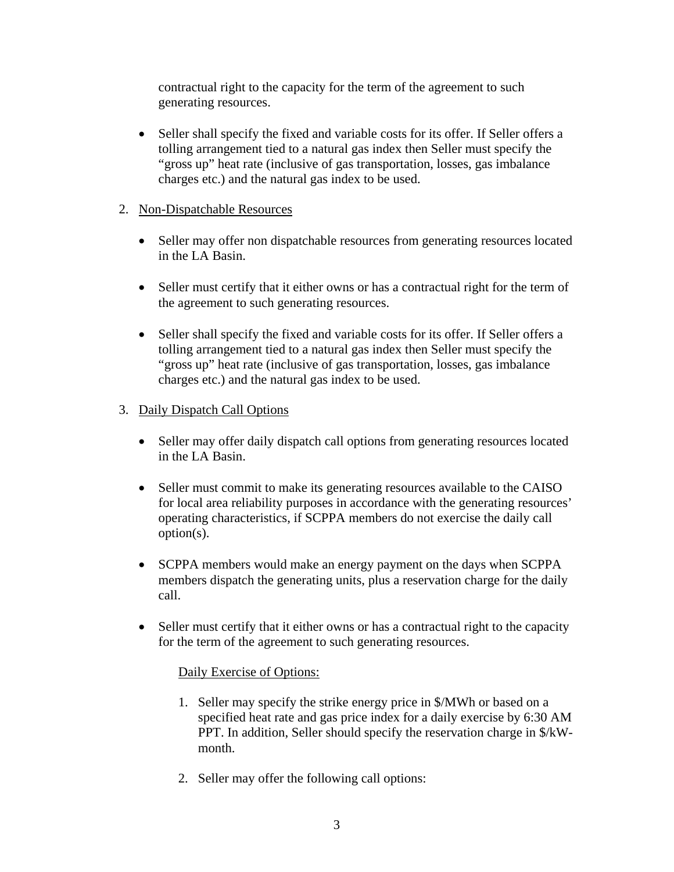contractual right to the capacity for the term of the agreement to such generating resources.

• Seller shall specify the fixed and variable costs for its offer. If Seller offers a tolling arrangement tied to a natural gas index then Seller must specify the "gross up" heat rate (inclusive of gas transportation, losses, gas imbalance charges etc.) and the natural gas index to be used.

### 2. Non-Dispatchable Resources

- Seller may offer non dispatchable resources from generating resources located in the LA Basin.
- Seller must certify that it either owns or has a contractual right for the term of the agreement to such generating resources.
- Seller shall specify the fixed and variable costs for its offer. If Seller offers a tolling arrangement tied to a natural gas index then Seller must specify the "gross up" heat rate (inclusive of gas transportation, losses, gas imbalance charges etc.) and the natural gas index to be used.

### 3. Daily Dispatch Call Options

- Seller may offer daily dispatch call options from generating resources located in the LA Basin.
- Seller must commit to make its generating resources available to the CAISO for local area reliability purposes in accordance with the generating resources' operating characteristics, if SCPPA members do not exercise the daily call option(s).
- SCPPA members would make an energy payment on the days when SCPPA members dispatch the generating units, plus a reservation charge for the daily call.
- Seller must certify that it either owns or has a contractual right to the capacity for the term of the agreement to such generating resources.

### Daily Exercise of Options:

- 1. Seller may specify the strike energy price in \$/MWh or based on a specified heat rate and gas price index for a daily exercise by 6:30 AM PPT. In addition, Seller should specify the reservation charge in \$/kWmonth.
- 2. Seller may offer the following call options: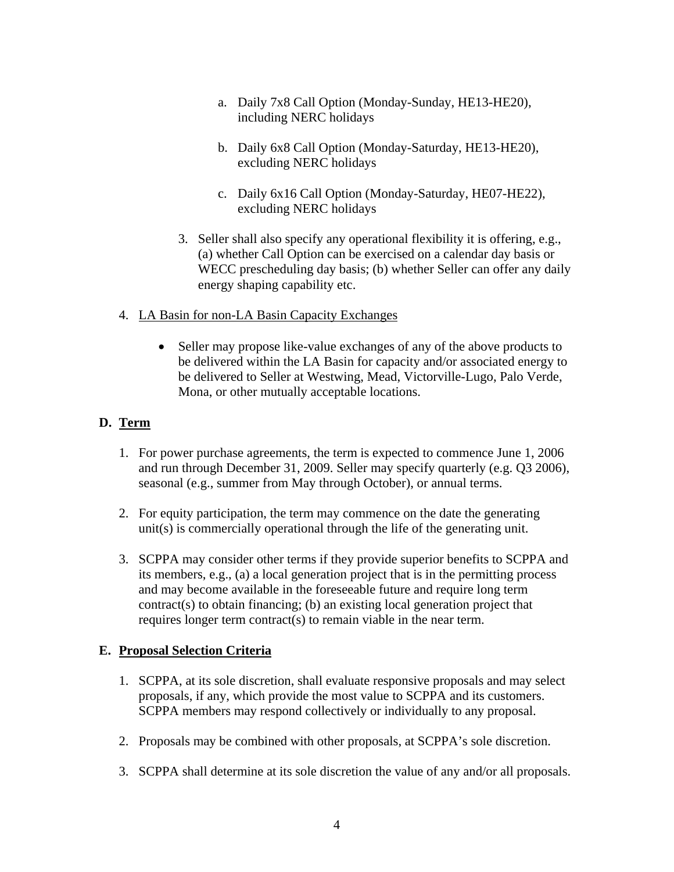- a. Daily 7x8 Call Option (Monday-Sunday, HE13-HE20), including NERC holidays
- b. Daily 6x8 Call Option (Monday-Saturday, HE13-HE20), excluding NERC holidays
- c. Daily 6x16 Call Option (Monday-Saturday, HE07-HE22), excluding NERC holidays
- 3. Seller shall also specify any operational flexibility it is offering, e.g., (a) whether Call Option can be exercised on a calendar day basis or WECC prescheduling day basis; (b) whether Seller can offer any daily energy shaping capability etc.
- 4. LA Basin for non-LA Basin Capacity Exchanges
	- Seller may propose like-value exchanges of any of the above products to be delivered within the LA Basin for capacity and/or associated energy to be delivered to Seller at Westwing, Mead, Victorville-Lugo, Palo Verde, Mona, or other mutually acceptable locations.

### **D. Term**

- 1. For power purchase agreements, the term is expected to commence June 1, 2006 and run through December 31, 2009. Seller may specify quarterly (e.g. Q3 2006), seasonal (e.g., summer from May through October), or annual terms.
- 2. For equity participation, the term may commence on the date the generating unit(s) is commercially operational through the life of the generating unit.
- 3. SCPPA may consider other terms if they provide superior benefits to SCPPA and its members, e.g., (a) a local generation project that is in the permitting process and may become available in the foreseeable future and require long term contract(s) to obtain financing; (b) an existing local generation project that requires longer term contract(s) to remain viable in the near term.

## **E. Proposal Selection Criteria**

- 1. SCPPA, at its sole discretion, shall evaluate responsive proposals and may select proposals, if any, which provide the most value to SCPPA and its customers. SCPPA members may respond collectively or individually to any proposal.
- 2. Proposals may be combined with other proposals, at SCPPA's sole discretion.
- 3. SCPPA shall determine at its sole discretion the value of any and/or all proposals.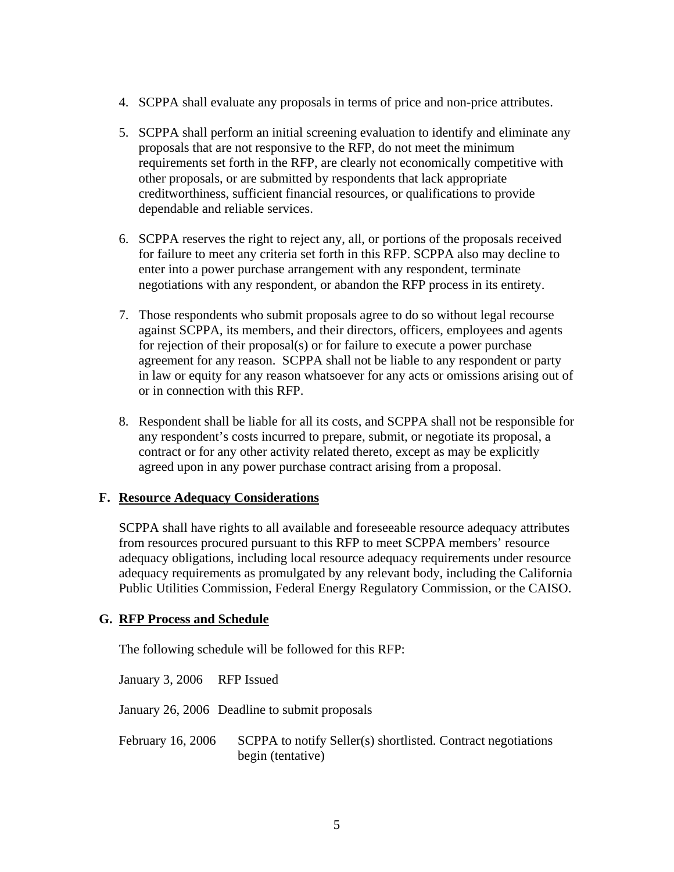- 4. SCPPA shall evaluate any proposals in terms of price and non-price attributes.
- 5. SCPPA shall perform an initial screening evaluation to identify and eliminate any proposals that are not responsive to the RFP, do not meet the minimum requirements set forth in the RFP, are clearly not economically competitive with other proposals, or are submitted by respondents that lack appropriate creditworthiness, sufficient financial resources, or qualifications to provide dependable and reliable services.
- 6. SCPPA reserves the right to reject any, all, or portions of the proposals received for failure to meet any criteria set forth in this RFP. SCPPA also may decline to enter into a power purchase arrangement with any respondent, terminate negotiations with any respondent, or abandon the RFP process in its entirety.
- 7. Those respondents who submit proposals agree to do so without legal recourse against SCPPA, its members, and their directors, officers, employees and agents for rejection of their proposal(s) or for failure to execute a power purchase agreement for any reason. SCPPA shall not be liable to any respondent or party in law or equity for any reason whatsoever for any acts or omissions arising out of or in connection with this RFP.
- 8. Respondent shall be liable for all its costs, and SCPPA shall not be responsible for any respondent's costs incurred to prepare, submit, or negotiate its proposal, a contract or for any other activity related thereto, except as may be explicitly agreed upon in any power purchase contract arising from a proposal.

#### **F. Resource Adequacy Considerations**

SCPPA shall have rights to all available and foreseeable resource adequacy attributes from resources procured pursuant to this RFP to meet SCPPA members' resource adequacy obligations, including local resource adequacy requirements under resource adequacy requirements as promulgated by any relevant body, including the California Public Utilities Commission, Federal Energy Regulatory Commission, or the CAISO.

#### **G. RFP Process and Schedule**

The following schedule will be followed for this RFP:

January 3, 2006 RFP Issued

January 26, 2006 Deadline to submit proposals

February 16, 2006 SCPPA to notify Seller(s) shortlisted. Contract negotiations begin (tentative)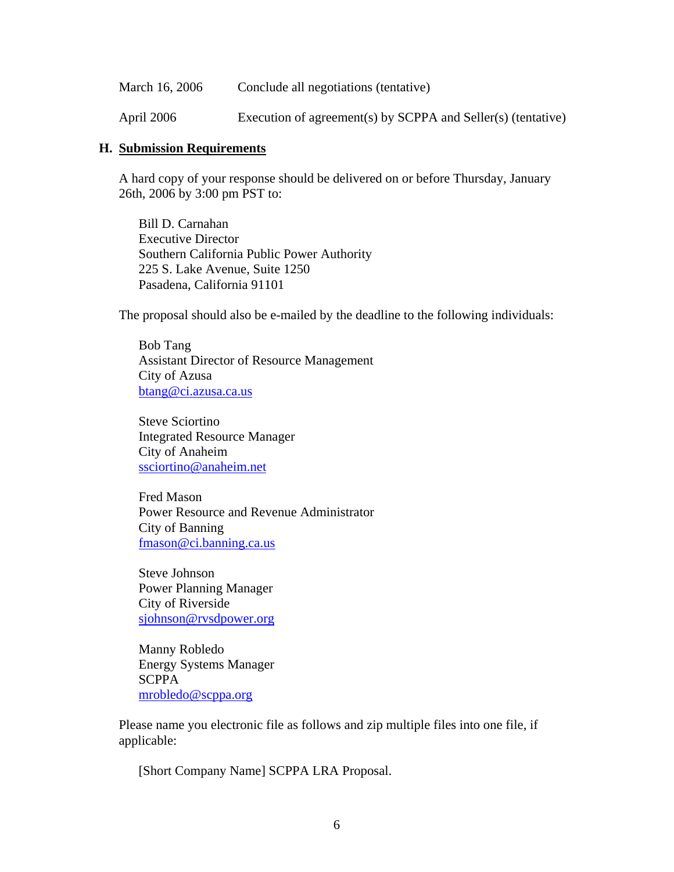| March 16, 2006 | Conclude all negotiations (tentative)                        |
|----------------|--------------------------------------------------------------|
| April 2006     | Execution of agreement(s) by SCPPA and Seller(s) (tentative) |

#### **H. Submission Requirements**

A hard copy of your response should be delivered on or before Thursday, January 26th, 2006 by 3:00 pm PST to:

 Bill D. Carnahan Executive Director Southern California Public Power Authority 225 S. Lake Avenue, Suite 1250 Pasadena, California 91101

The proposal should also be e-mailed by the deadline to the following individuals:

Bob Tang Assistant Director of Resource Management City of Azusa btang@ci.azusa.ca.us

Steve Sciortino Integrated Resource Manager City of Anaheim ssciortino@anaheim.net

Fred Mason Power Resource and Revenue Administrator City of Banning fmason@ci.banning.ca.us

Steve Johnson Power Planning Manager City of Riverside sjohnson@rvsdpower.org

Manny Robledo Energy Systems Manager **SCPPA** mrobledo@scppa.org

Please name you electronic file as follows and zip multiple files into one file, if applicable:

[Short Company Name] SCPPA LRA Proposal.